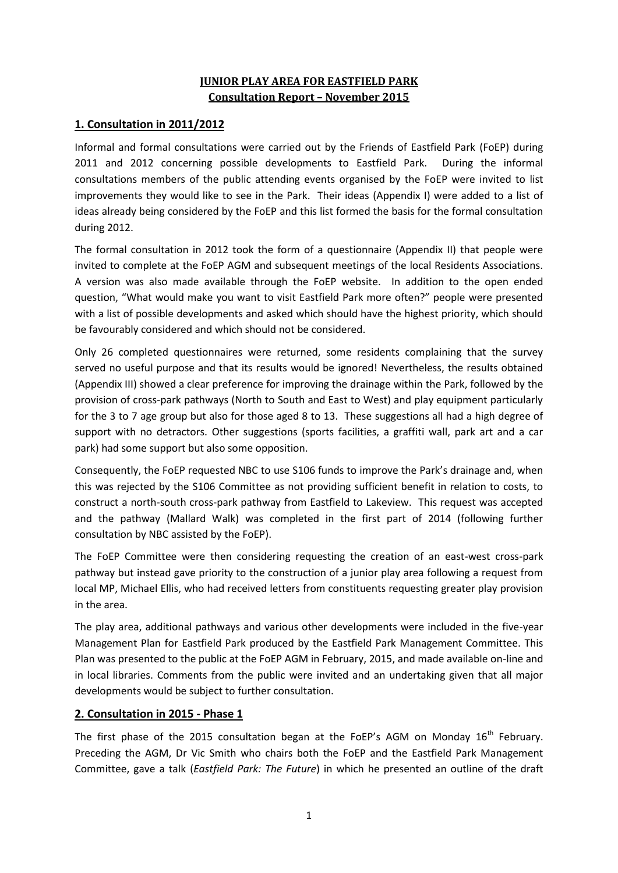## **JUNIOR PLAY AREA FOR EASTFIELD PARK Consultation Report – November 2015**

## **1. Consultation in 2011/2012**

Informal and formal consultations were carried out by the Friends of Eastfield Park (FoEP) during 2011 and 2012 concerning possible developments to Eastfield Park. During the informal consultations members of the public attending events organised by the FoEP were invited to list improvements they would like to see in the Park. Their ideas (Appendix I) were added to a list of ideas already being considered by the FoEP and this list formed the basis for the formal consultation during 2012.

The formal consultation in 2012 took the form of a questionnaire (Appendix II) that people were invited to complete at the FoEP AGM and subsequent meetings of the local Residents Associations. A version was also made available through the FoEP website. In addition to the open ended question, "What would make you want to visit Eastfield Park more often?" people were presented with a list of possible developments and asked which should have the highest priority, which should be favourably considered and which should not be considered.

Only 26 completed questionnaires were returned, some residents complaining that the survey served no useful purpose and that its results would be ignored! Nevertheless, the results obtained (Appendix III) showed a clear preference for improving the drainage within the Park, followed by the provision of cross-park pathways (North to South and East to West) and play equipment particularly for the 3 to 7 age group but also for those aged 8 to 13. These suggestions all had a high degree of support with no detractors. Other suggestions (sports facilities, a graffiti wall, park art and a car park) had some support but also some opposition.

Consequently, the FoEP requested NBC to use S106 funds to improve the Park's drainage and, when this was rejected by the S106 Committee as not providing sufficient benefit in relation to costs, to construct a north-south cross-park pathway from Eastfield to Lakeview. This request was accepted and the pathway (Mallard Walk) was completed in the first part of 2014 (following further consultation by NBC assisted by the FoEP).

The FoEP Committee were then considering requesting the creation of an east-west cross-park pathway but instead gave priority to the construction of a junior play area following a request from local MP, Michael Ellis, who had received letters from constituents requesting greater play provision in the area.

The play area, additional pathways and various other developments were included in the five-year Management Plan for Eastfield Park produced by the Eastfield Park Management Committee. This Plan was presented to the public at the FoEP AGM in February, 2015, and made available on-line and in local libraries. Comments from the public were invited and an undertaking given that all major developments would be subject to further consultation.

### **2. Consultation in 2015 - Phase 1**

The first phase of the 2015 consultation began at the FoEP's AGM on Monday  $16<sup>th</sup>$  February. Preceding the AGM, Dr Vic Smith who chairs both the FoEP and the Eastfield Park Management Committee, gave a talk (*Eastfield Park: The Future*) in which he presented an outline of the draft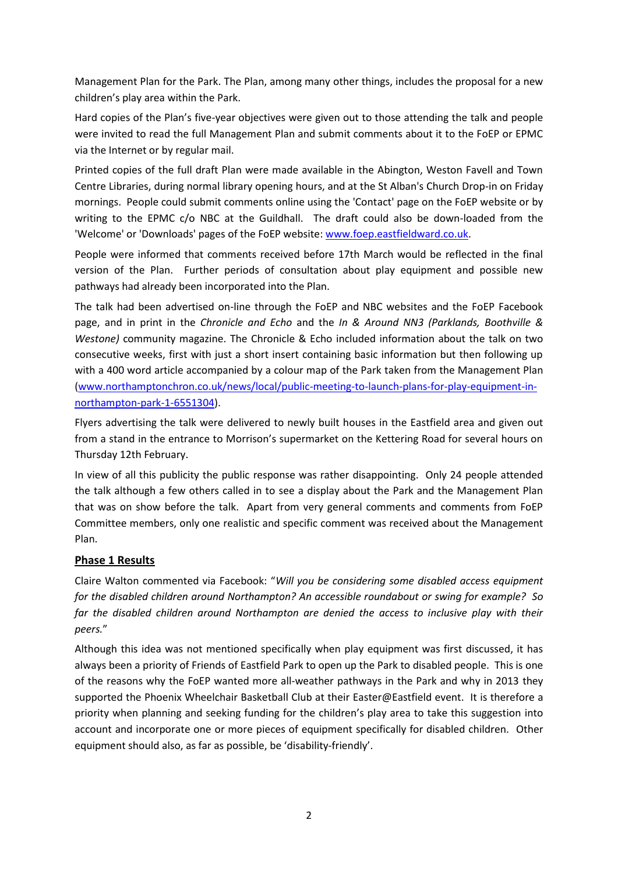Management Plan for the Park. The Plan, among many other things, includes the proposal for a new children's play area within the Park.

Hard copies of the Plan's five-year objectives were given out to those attending the talk and people were invited to read the full Management Plan and submit comments about it to the FoEP or EPMC via the Internet or by regular mail.

Printed copies of the full draft Plan were made available in the Abington, Weston Favell and Town Centre Libraries, during normal library opening hours, and at the St Alban's Church Drop-in on Friday mornings. People could submit comments online using the 'Contact' page on the FoEP website or by writing to the EPMC c/o NBC at the Guildhall. The draft could also be down-loaded from the 'Welcome' or 'Downloads' pages of the FoEP website[: www.foep.eastfieldward.co.uk.](http://www.foep.eastfieldward.co.uk/)

People were informed that comments received before 17th March would be reflected in the final version of the Plan. Further periods of consultation about play equipment and possible new pathways had already been incorporated into the Plan.

The talk had been advertised on-line through the FoEP and NBC websites and the FoEP Facebook page, and in print in the *Chronicle and Echo* and the *In & Around NN3 (Parklands, Boothville & Westone)* community magazine. The Chronicle & Echo included information about the talk on two consecutive weeks, first with just a short insert containing basic information but then following up with a 400 word article accompanied by a colour map of the Park taken from the Management Plan [\(www.northamptonchron.co.uk/news/local/public-meeting-to-launch-plans-for-play-equipment-in](http://www.northamptonchron.co.uk/news/local/public-meeting-to-launch-plans-for-play-equipment-in-northampton-park-1-6551304)[northampton-park-1-6551304\)](http://www.northamptonchron.co.uk/news/local/public-meeting-to-launch-plans-for-play-equipment-in-northampton-park-1-6551304).

Flyers advertising the talk were delivered to newly built houses in the Eastfield area and given out from a stand in the entrance to Morrison's supermarket on the Kettering Road for several hours on Thursday 12th February.

In view of all this publicity the public response was rather disappointing. Only 24 people attended the talk although a few others called in to see a display about the Park and the Management Plan that was on show before the talk. Apart from very general comments and comments from FoEP Committee members, only one realistic and specific comment was received about the Management Plan.

### **Phase 1 Results**

Claire Walton commented via Facebook: "*Will you be considering some disabled access equipment for the disabled children around Northampton? An accessible roundabout or swing for example? So far the disabled children around Northampton are denied the access to inclusive play with their peers.*"

Although this idea was not mentioned specifically when play equipment was first discussed, it has always been a priority of Friends of Eastfield Park to open up the Park to disabled people. This is one of the reasons why the FoEP wanted more all-weather pathways in the Park and why in 2013 they supported the Phoenix Wheelchair Basketball Club at their Easter@Eastfield event. It is therefore a priority when planning and seeking funding for the children's play area to take this suggestion into account and incorporate one or more pieces of equipment specifically for disabled children. Other equipment should also, as far as possible, be 'disability-friendly'.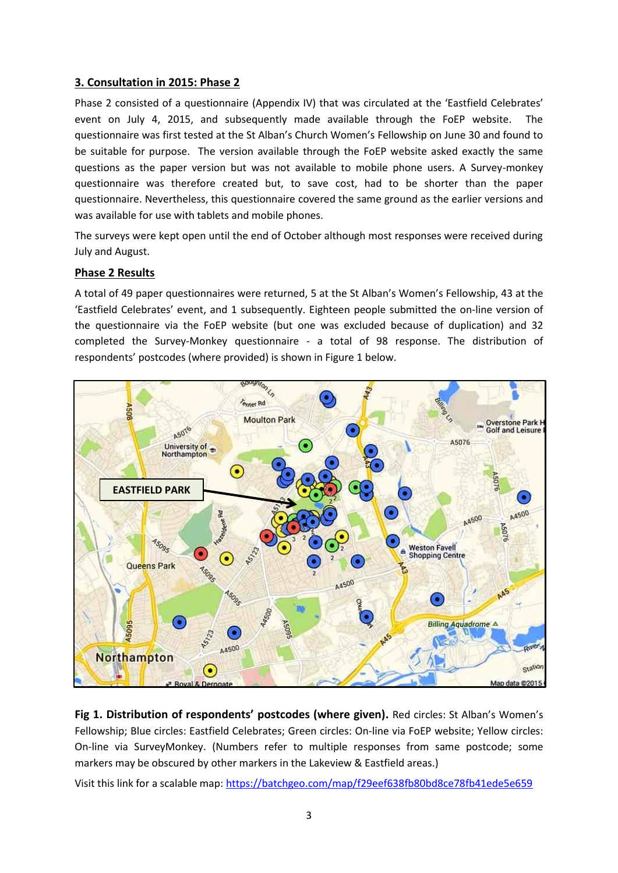### **3. Consultation in 2015: Phase 2**

Phase 2 consisted of a questionnaire (Appendix IV) that was circulated at the 'Eastfield Celebrates' event on July 4, 2015, and subsequently made available through the FoEP website. The questionnaire was first tested at the St Alban's Church Women's Fellowship on June 30 and found to be suitable for purpose. The version available through the FoEP website asked exactly the same questions as the paper version but was not available to mobile phone users. A Survey-monkey questionnaire was therefore created but, to save cost, had to be shorter than the paper questionnaire. Nevertheless, this questionnaire covered the same ground as the earlier versions and was available for use with tablets and mobile phones.

The surveys were kept open until the end of October although most responses were received during July and August.

### **Phase 2 Results**

A total of 49 paper questionnaires were returned, 5 at the St Alban's Women's Fellowship, 43 at the 'Eastfield Celebrates' event, and 1 subsequently. Eighteen people submitted the on-line version of the questionnaire via the FoEP website (but one was excluded because of duplication) and 32 completed the Survey-Monkey questionnaire - a total of 98 response. The distribution of respondents' postcodes (where provided) is shown in Figure 1 below.



**Fig 1. Distribution of respondents' postcodes (where given).** Red circles: St Alban's Women's Fellowship; Blue circles: Eastfield Celebrates; Green circles: On-line via FoEP website; Yellow circles: On-line via SurveyMonkey. (Numbers refer to multiple responses from same postcode; some markers may be obscured by other markers in the Lakeview & Eastfield areas.)

Visit this link for a scalable map[: https://batchgeo.com/map/f29eef638fb80bd8ce78fb41ede5e659](https://batchgeo.com/map/f29eef638fb80bd8ce78fb41ede5e659)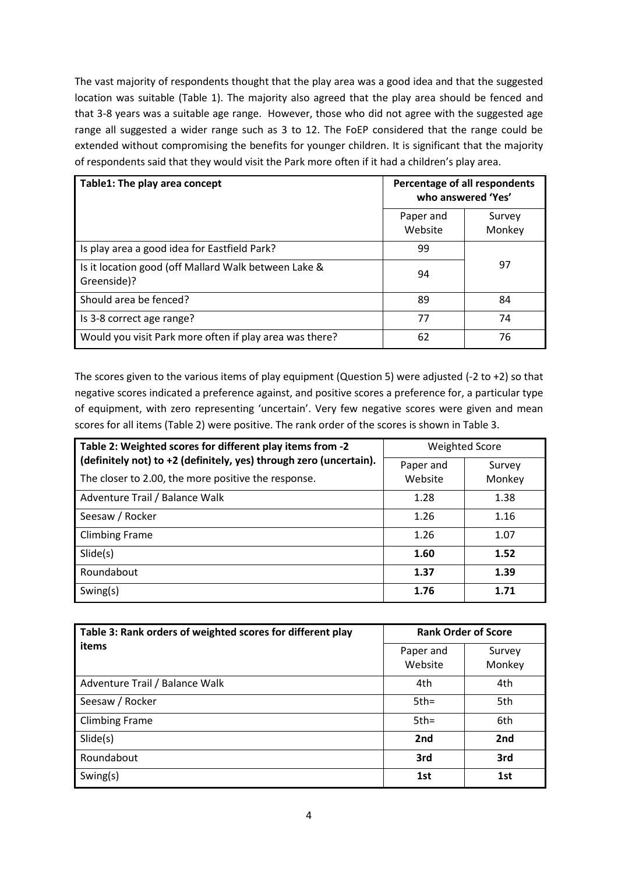The vast majority of respondents thought that the play area was a good idea and that the suggested location was suitable (Table 1). The majority also agreed that the play area should be fenced and that 3-8 years was a suitable age range. However, those who did not agree with the suggested age range all suggested a wider range such as 3 to 12. The FoEP considered that the range could be extended without compromising the benefits for younger children. It is significant that the majority of respondents said that they would visit the Park more often if it had a children's play area.

| Table1: The play area concept                                       | Percentage of all respondents<br>who answered 'Yes' |                  |
|---------------------------------------------------------------------|-----------------------------------------------------|------------------|
|                                                                     | Paper and<br>Website                                | Survey<br>Monkey |
| Is play area a good idea for Eastfield Park?                        | 99                                                  |                  |
| Is it location good (off Mallard Walk between Lake &<br>Greenside)? | 94                                                  | 97               |
| Should area be fenced?                                              | 89                                                  | 84               |
| Is 3-8 correct age range?                                           | 77                                                  | 74               |
| Would you visit Park more often if play area was there?             | 62                                                  | 76               |

The scores given to the various items of play equipment (Question 5) were adjusted (-2 to +2) so that negative scores indicated a preference against, and positive scores a preference for, a particular type of equipment, with zero representing 'uncertain'. Very few negative scores were given and mean scores for all items (Table 2) were positive. The rank order of the scores is shown in Table 3.

| Table 2: Weighted scores for different play items from -2                                                                 | <b>Weighted Score</b> |                  |  |
|---------------------------------------------------------------------------------------------------------------------------|-----------------------|------------------|--|
| (definitely not) to +2 (definitely, yes) through zero (uncertain).<br>The closer to 2.00, the more positive the response. | Paper and<br>Website  | Survey<br>Monkey |  |
| Adventure Trail / Balance Walk                                                                                            | 1.28                  | 1.38             |  |
| Seesaw / Rocker                                                                                                           | 1.26                  | 1.16             |  |
| <b>Climbing Frame</b>                                                                                                     | 1.26                  | 1.07             |  |
| Slide(s)                                                                                                                  | 1.60                  | 1.52             |  |
| Roundabout                                                                                                                | 1.37                  | 1.39             |  |
| Swing(s)                                                                                                                  | 1.76                  | 1.71             |  |

| Table 3: Rank orders of weighted scores for different play | <b>Rank Order of Score</b> |                  |  |
|------------------------------------------------------------|----------------------------|------------------|--|
| items                                                      | Paper and<br>Website       | Survey<br>Monkey |  |
| Adventure Trail / Balance Walk                             | 4th                        | 4th              |  |
| Seesaw / Rocker                                            | $5th =$                    | 5th              |  |
| <b>Climbing Frame</b>                                      | $5th =$                    | 6th              |  |
| Slide(s)                                                   | 2nd                        | 2 <sub>nd</sub>  |  |
| Roundabout                                                 | 3rd                        | 3rd              |  |
| Swing $(s)$                                                | 1st                        | 1st              |  |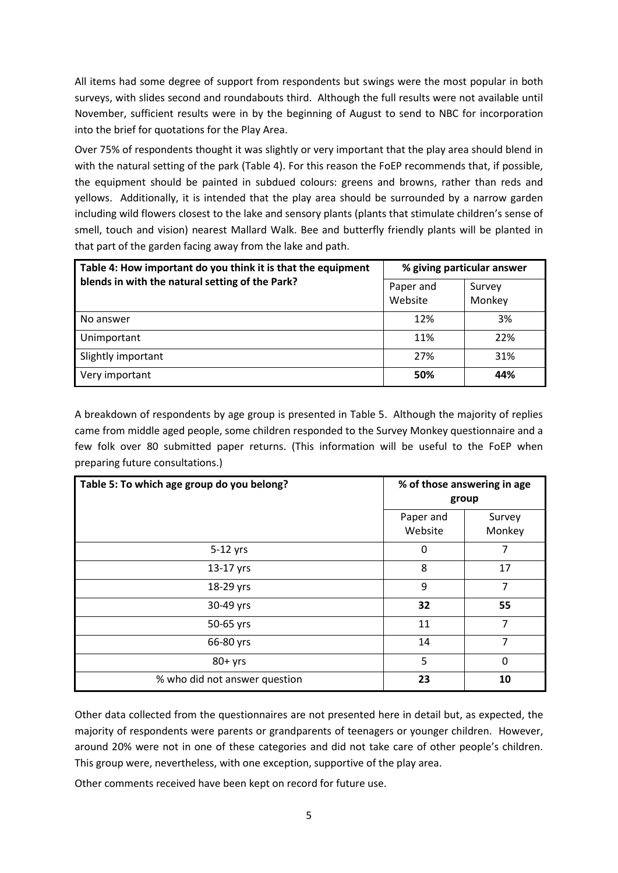All items had some degree of support from respondents but swings were the most popular in both surveys, with slides second and roundabouts third. Although the full results were not available until November, sufficient results were in by the beginning of August to send to NBC for incorporation into the brief for quotations for the Play Area.

Over 75% of respondents thought it was slightly or very important that the play area should blend in with the natural setting of the park (Table 4). For this reason the FoEP recommends that, if possible, the equipment should be painted in subdued colours: greens and browns, rather than reds and yellows. Additionally, it is intended that the play area should be surrounded by a narrow garden including wild flowers closest to the lake and sensory plants (plants that stimulate children's sense of smell, touch and vision) nearest Mallard Walk. Bee and butterfly friendly plants will be planted in that part of the garden facing away from the lake and path.

| Table 4: How important do you think it is that the equipment | % giving particular answer |                  |  |
|--------------------------------------------------------------|----------------------------|------------------|--|
| blends in with the natural setting of the Park?              | Paper and<br>Website       | Survey<br>Monkey |  |
| No answer                                                    | 12%                        | 3%               |  |
| Unimportant                                                  | 11%                        | 22%              |  |
| Slightly important                                           | 27%                        | 31%              |  |
| Very important                                               | 50%                        | 44%              |  |

A breakdown of respondents by age group is presented in Table 5. Although the majority of replies came from middle aged people, some children responded to the Survey Monkey questionnaire and a few folk over 80 submitted paper returns. (This information will be useful to the FoEP when preparing future consultations.)

| Table 5: To which age group do you belong? | % of those answering in age<br>group |                  |  |
|--------------------------------------------|--------------------------------------|------------------|--|
|                                            | Paper and<br>Website                 | Survey<br>Monkey |  |
| 5-12 yrs                                   | 0                                    | 7                |  |
| 13-17 yrs                                  | 8                                    | 17               |  |
| 18-29 yrs                                  | 9                                    | 7                |  |
| 30-49 yrs                                  | 32                                   | 55               |  |
| 50-65 yrs                                  | 11                                   | 7                |  |
| 66-80 yrs                                  | 14                                   | 7                |  |
| $80+$ yrs                                  | 5                                    | 0                |  |
| % who did not answer question              | 23                                   | 10               |  |

Other data collected from the questionnaires are not presented here in detail but, as expected, the majority of respondents were parents or grandparents of teenagers or younger children. However, around 20% were not in one of these categories and did not take care of other people's children. This group were, nevertheless, with one exception, supportive of the play area.

Other comments received have been kept on record for future use.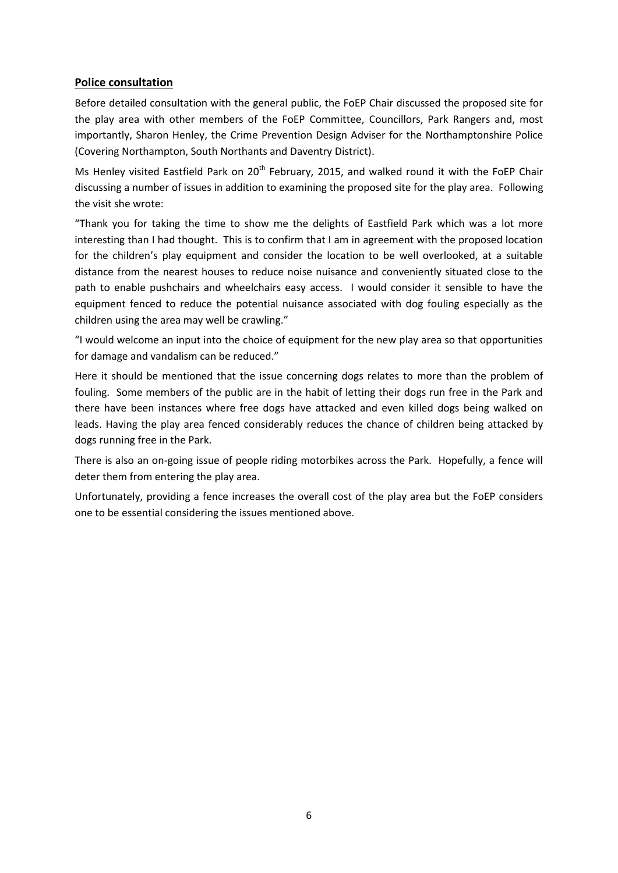### **Police consultation**

Before detailed consultation with the general public, the FoEP Chair discussed the proposed site for the play area with other members of the FoEP Committee, Councillors, Park Rangers and, most importantly, Sharon Henley, the Crime Prevention Design Adviser for the Northamptonshire Police (Covering Northampton, South Northants and Daventry District).

Ms Henley visited Eastfield Park on 20<sup>th</sup> February, 2015, and walked round it with the FoEP Chair discussing a number of issues in addition to examining the proposed site for the play area. Following the visit she wrote:

"Thank you for taking the time to show me the delights of Eastfield Park which was a lot more interesting than I had thought. This is to confirm that I am in agreement with the proposed location for the children's play equipment and consider the location to be well overlooked, at a suitable distance from the nearest houses to reduce noise nuisance and conveniently situated close to the path to enable pushchairs and wheelchairs easy access. I would consider it sensible to have the equipment fenced to reduce the potential nuisance associated with dog fouling especially as the children using the area may well be crawling."

"I would welcome an input into the choice of equipment for the new play area so that opportunities for damage and vandalism can be reduced."

Here it should be mentioned that the issue concerning dogs relates to more than the problem of fouling. Some members of the public are in the habit of letting their dogs run free in the Park and there have been instances where free dogs have attacked and even killed dogs being walked on leads. Having the play area fenced considerably reduces the chance of children being attacked by dogs running free in the Park.

There is also an on-going issue of people riding motorbikes across the Park. Hopefully, a fence will deter them from entering the play area.

Unfortunately, providing a fence increases the overall cost of the play area but the FoEP considers one to be essential considering the issues mentioned above.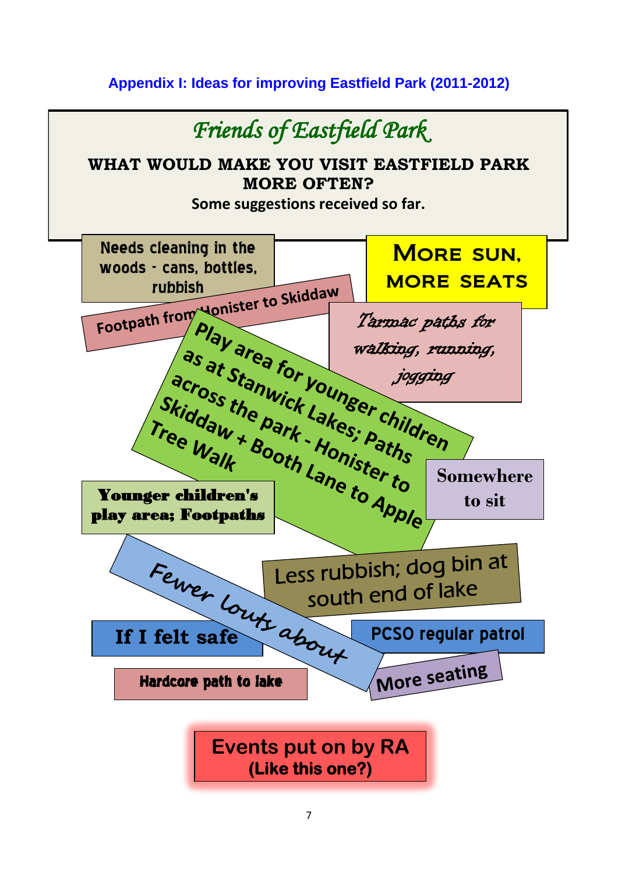# **Appendix I: Ideas for improving Eastfield Park (2011-2012)**

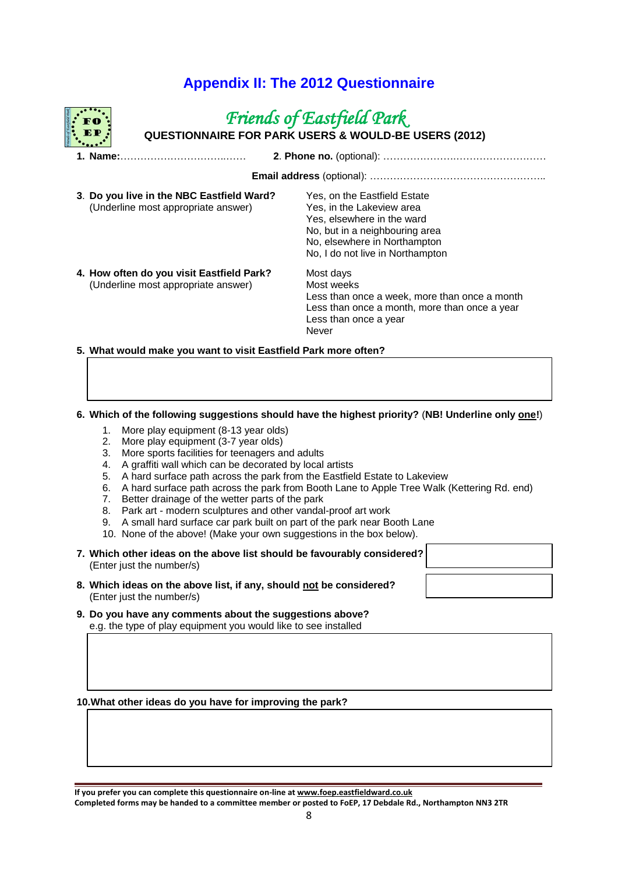# **Appendix II: The 2012 Questionnaire**

# *Friends of Eastfield Park*

**QUESTIONNAIRE FOR PARK USERS & WOULD-BE USERS (2012)**

| 3. Do you live in the NBC Eastfield Ward?<br>(Underline most appropriate answer) | Yes, on the Eastfield Estate<br>Yes, in the Lakeview area<br>Yes, elsewhere in the ward<br>No, but in a neighbouring area<br>No, elsewhere in Northampton<br>No, I do not live in Northampton |  |  |  |  |  |
|----------------------------------------------------------------------------------|-----------------------------------------------------------------------------------------------------------------------------------------------------------------------------------------------|--|--|--|--|--|
| 4. How often do you visit Eastfield Park?<br>(Underline most appropriate answer) | Most days<br>Most weeks<br>Less than once a week, more than once a month<br>Less than once a month, more than once a year<br>Less than once a year<br>Never                                   |  |  |  |  |  |

**5. What would make you want to visit Eastfield Park more often?**

#### **6. Which of the following suggestions should have the highest priority?** (**NB! Underline only one!**)

- 1. More play equipment (8-13 year olds)
- 2. More play equipment (3-7 year olds)
- 3. More sports facilities for teenagers and adults
- 4. A graffiti wall which can be decorated by local artists
- 5. A hard surface path across the park from the Eastfield Estate to Lakeview
- 6. A hard surface path across the park from Booth Lane to Apple Tree Walk (Kettering Rd. end)
- 7. Better drainage of the wetter parts of the park
- 8. Park art modern sculptures and other vandal-proof art work
- 9. A small hard surface car park built on part of the park near Booth Lane
- 10. None of the above! (Make your own suggestions in the box below).
- **7. Which other ideas on the above list should be favourably considered?** (Enter just the number/s)
- **8. Which ideas on the above list, if any, should not be considered?** (Enter just the number/s)
- **9. Do you have any comments about the suggestions above?** e.g. the type of play equipment you would like to see installed

**10.What other ideas do you have for improving the park?**

| If you prefer you can complete this questionnaire on-line at www.foep.eastfieldward.co.uk                  |
|------------------------------------------------------------------------------------------------------------|
| Completed forms may be handed to a committee member or posted to FoEP, 17 Debdale Rd., Northampton NN3 2TR |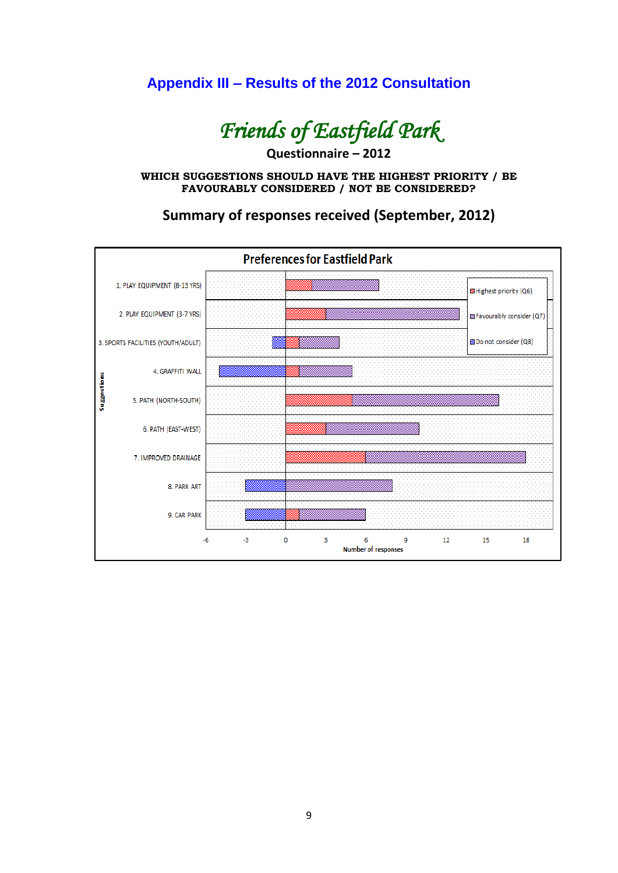# **Appendix III – Results of the 2012 Consultation**



**Questionnaire – 2012**

**WHICH SUGGESTIONS SHOULD HAVE THE HIGHEST PRIORITY / BE FAVOURABLY CONSIDERED / NOT BE CONSIDERED?**



**Summary of responses received (September, 2012)**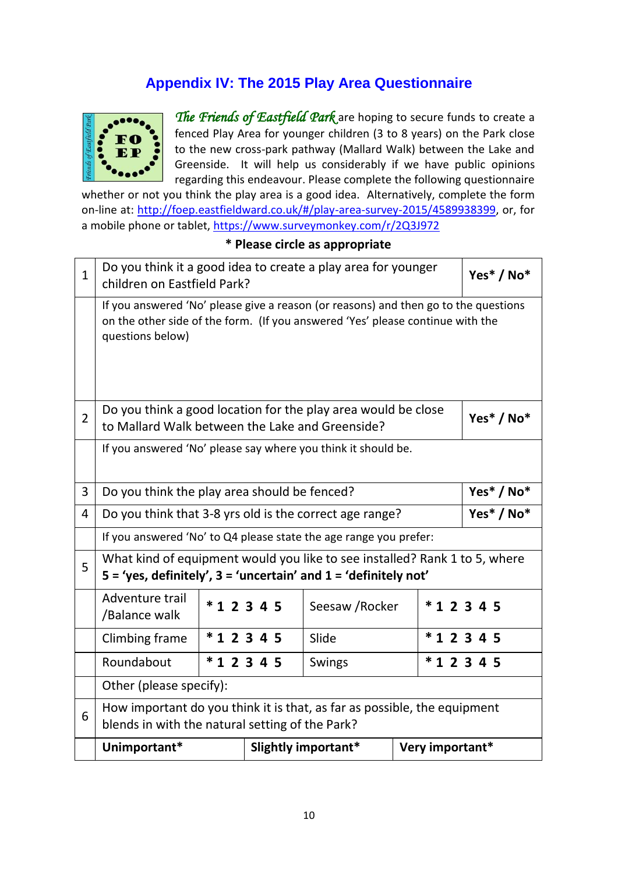# **Appendix IV: The 2015 Play Area Questionnaire**



*The Friends of Eastfield Park* are hoping to secure funds to create a fenced Play Area for younger children (3 to 8 years) on the Park close to the new cross-park pathway (Mallard Walk) between the Lake and Greenside. It will help us considerably if we have public opinions regarding this endeavour. Please complete the following questionnaire

whether or not you think the play area is a good idea. Alternatively, complete the form on-line at: http://foep.eastfieldward.co.uk/#/play-area-survey-2015/4589938399, or, for a mobile phone or tablet, https://www.surveymonkey.com/r/2Q3J972

| $\mathbf{1}$   | Do you think it a good idea to create a play area for younger<br>children on Eastfield Park?                                                                                              |          |                     |                 |  | Yes* / No*      |  |
|----------------|-------------------------------------------------------------------------------------------------------------------------------------------------------------------------------------------|----------|---------------------|-----------------|--|-----------------|--|
|                | If you answered 'No' please give a reason (or reasons) and then go to the questions<br>on the other side of the form. (If you answered 'Yes' please continue with the<br>questions below) |          |                     |                 |  |                 |  |
| $\overline{2}$ | Do you think a good location for the play area would be close<br>to Mallard Walk between the Lake and Greenside?                                                                          |          |                     |                 |  | Yes* / No*      |  |
|                | If you answered 'No' please say where you think it should be.                                                                                                                             |          |                     |                 |  |                 |  |
| 3              | Yes* / No*<br>Do you think the play area should be fenced?                                                                                                                                |          |                     |                 |  |                 |  |
| $\overline{4}$ | Yes* / No*<br>Do you think that 3-8 yrs old is the correct age range?                                                                                                                     |          |                     |                 |  |                 |  |
|                | If you answered 'No' to Q4 please state the age range you prefer:                                                                                                                         |          |                     |                 |  |                 |  |
| 5              | What kind of equipment would you like to see installed? Rank 1 to 5, where<br>$5 = 'yes$ , definitely', $3 = 'uncertain'$ and $1 = 'definitely not'$                                      |          |                     |                 |  |                 |  |
|                | Adventure trail<br>/Balance walk                                                                                                                                                          |          | $*12345$            | Seesaw / Rocker |  | $*12345$        |  |
|                | Climbing frame                                                                                                                                                                            | $*12345$ |                     | Slide           |  | $*12345$        |  |
|                | Roundabout                                                                                                                                                                                |          | $*12345$            | Swings          |  | $*12345$        |  |
|                | Other (please specify):                                                                                                                                                                   |          |                     |                 |  |                 |  |
| 6              | How important do you think it is that, as far as possible, the equipment<br>blends in with the natural setting of the Park?                                                               |          |                     |                 |  |                 |  |
|                | Unimportant*                                                                                                                                                                              |          | Slightly important* |                 |  | Very important* |  |

## **\* Please circle as appropriate**